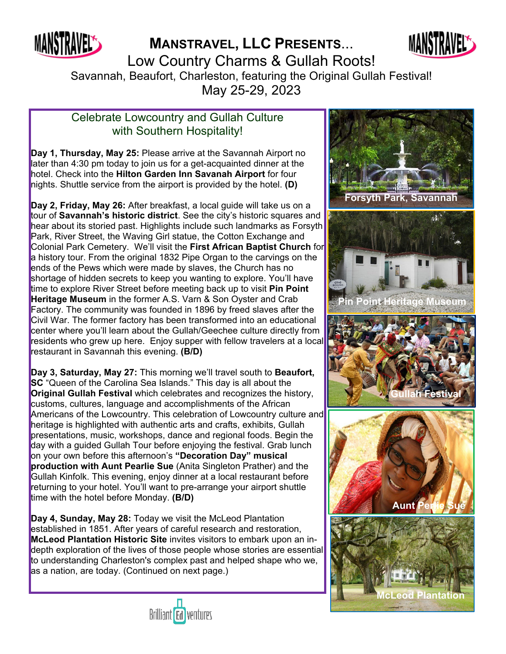

**MANSTRAVEL, LLC PRESENTS**...



Low Country Charms & Gullah Roots! Savannah, Beaufort, Charleston, featuring the Original Gullah Festival!

May 25-29, 2023

## Celebrate Lowcountry and Gullah Culture with Southern Hospitality!

**Day 1, Thursday, May 25:** Please arrive at the Savannah Airport no later than 4:30 pm today to join us for a get-acquainted dinner at the hotel. Check into the **Hilton Garden Inn Savanah Airport** for four nights. Shuttle service from the airport is provided by the hotel. **(D)**

**Day 2, Friday, May 26:** After breakfast, a local guide will take us on a tour of **Savannah's historic district**. See the city's historic squares and hear about its storied past. Highlights include such landmarks as Forsyth Park, River Street, the Waving Girl statue, the Cotton Exchange and Colonial Park Cemetery. We'll visit the **First African Baptist Church** for a history tour. From the original 1832 Pipe Organ to the carvings on the ends of the Pews which were made by slaves, the Church has no shortage of hidden secrets to keep you wanting to explore. You'll have time to explore River Street before meeting back up to visit **Pin Point Heritage Museum** in the former A.S. Varn & Son Oyster and Crab Factory. The community was founded in 1896 by freed slaves after the Civil War. The former factory has been transformed into an educational center where you'll learn about the Gullah/Geechee culture directly from residents who grew up here. Enjoy supper with fellow travelers at a local restaurant in Savannah this evening. **(B/D)**

**Day 3, Saturday, May 27:** This morning we'll travel south to **Beaufort, SC** "Queen of the Carolina Sea Islands." This day is all about the **Original Gullah Festival** which celebrates and recognizes the history, customs, cultures, language and accomplishments of the African Americans of the Lowcountry. This celebration of Lowcountry culture and heritage is highlighted with authentic arts and crafts, exhibits, Gullah presentations, music, workshops, dance and regional foods. Begin the day with a guided Gullah Tour before enjoying the festival. Grab lunch on your own before this afternoon's **"Decoration Day" musical production with Aunt Pearlie Sue** (Anita Singleton Prather) and the Gullah Kinfolk. This evening, enjoy dinner at a local restaurant before returning to your hotel. You'll want to pre-arrange your airport shuttle time with the hotel before Monday. **(B/D)**

**Day 4, Sunday, May 28:** Today we visit the McLeod Plantation established in 1851. After years of careful research and restoration, **McLeod Plantation Historic Site** invites visitors to embark upon an indepth exploration of the lives of those people whose stories are essential to understanding Charleston's complex past and helped shape who we, as a nation, are today. (Continued on next page.)